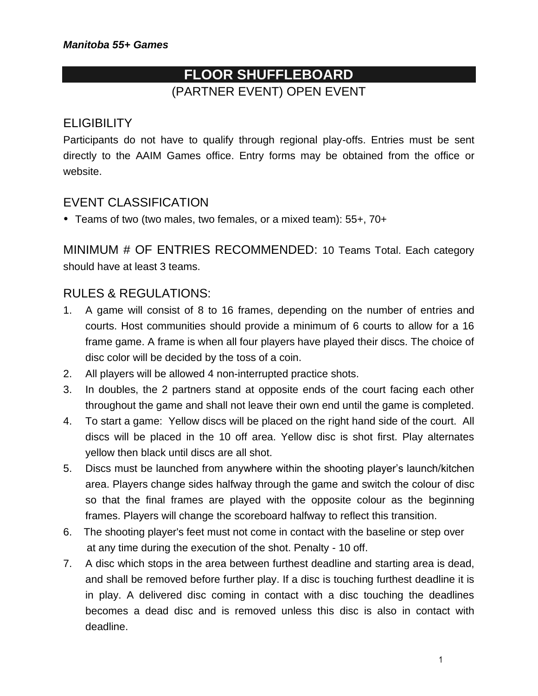# **FLOOR SHUFFLEBOARD** (PARTNER EVENT) OPEN EVENT

# **ELIGIBILITY**

Participants do not have to qualify through regional play-offs. Entries must be sent directly to the AAIM Games office. Entry forms may be obtained from the office or website.

### EVENT CLASSIFICATION

Teams of two (two males, two females, or a mixed team): 55+, 70+

MINIMUM # OF ENTRIES RECOMMENDED: 10 Teams Total. Each category should have at least 3 teams.

## RULES & REGULATIONS:

- 1. A game will consist of 8 to 16 frames, depending on the number of entries and courts. Host communities should provide a minimum of 6 courts to allow for a 16 frame game. A frame is when all four players have played their discs. The choice of disc color will be decided by the toss of a coin.
- 2. All players will be allowed 4 non-interrupted practice shots.
- 3. In doubles, the 2 partners stand at opposite ends of the court facing each other throughout the game and shall not leave their own end until the game is completed.
- 4. To start a game: Yellow discs will be placed on the right hand side of the court. All discs will be placed in the 10 off area. Yellow disc is shot first. Play alternates yellow then black until discs are all shot.
- 5. Discs must be launched from anywhere within the shooting player's launch/kitchen area. Players change sides halfway through the game and switch the colour of disc so that the final frames are played with the opposite colour as the beginning frames. Players will change the scoreboard halfway to reflect this transition.
- 6. The shooting player's feet must not come in contact with the baseline or step over at any time during the execution of the shot. Penalty - 10 off.
- 7. A disc which stops in the area between furthest deadline and starting area is dead, and shall be removed before further play. If a disc is touching furthest deadline it is in play. A delivered disc coming in contact with a disc touching the deadlines becomes a dead disc and is removed unless this disc is also in contact with deadline.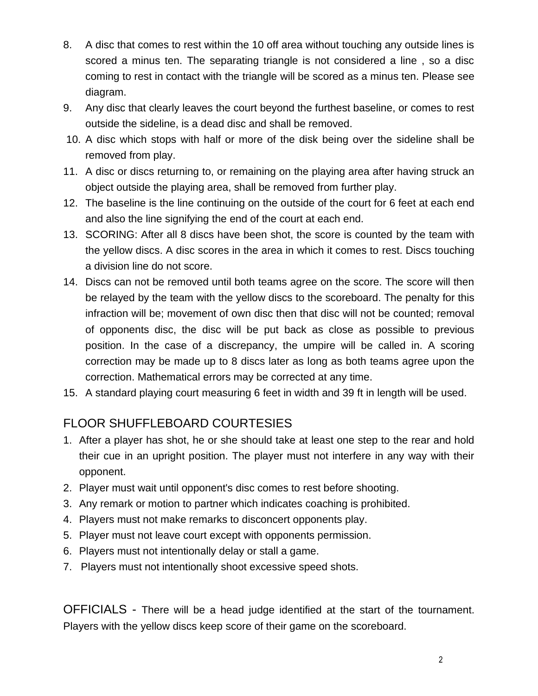- 8. A disc that comes to rest within the 10 off area without touching any outside lines is scored a minus ten. The separating triangle is not considered a line , so a disc coming to rest in contact with the triangle will be scored as a minus ten. Please see diagram.
- 9. Any disc that clearly leaves the court beyond the furthest baseline, or comes to rest outside the sideline, is a dead disc and shall be removed.
- 10. A disc which stops with half or more of the disk being over the sideline shall be removed from play.
- 11. A disc or discs returning to, or remaining on the playing area after having struck an object outside the playing area, shall be removed from further play.
- 12. The baseline is the line continuing on the outside of the court for 6 feet at each end and also the line signifying the end of the court at each end.
- 13. SCORING: After all 8 discs have been shot, the score is counted by the team with the yellow discs. A disc scores in the area in which it comes to rest. Discs touching a division line do not score.
- 14. Discs can not be removed until both teams agree on the score. The score will then be relayed by the team with the yellow discs to the scoreboard. The penalty for this infraction will be; movement of own disc then that disc will not be counted; removal of opponents disc, the disc will be put back as close as possible to previous position. In the case of a discrepancy, the umpire will be called in. A scoring correction may be made up to 8 discs later as long as both teams agree upon the correction. Mathematical errors may be corrected at any time.
- 15. A standard playing court measuring 6 feet in width and 39 ft in length will be used.

# FLOOR SHUFFLEBOARD COURTESIES

- 1. After a player has shot, he or she should take at least one step to the rear and hold their cue in an upright position. The player must not interfere in any way with their opponent.
- 2. Player must wait until opponent's disc comes to rest before shooting.
- 3. Any remark or motion to partner which indicates coaching is prohibited.
- 4. Players must not make remarks to disconcert opponents play.
- 5. Player must not leave court except with opponents permission.
- 6. Players must not intentionally delay or stall a game.
- 7. Players must not intentionally shoot excessive speed shots.

OFFICIALS - There will be a head judge identified at the start of the tournament. Players with the yellow discs keep score of their game on the scoreboard.